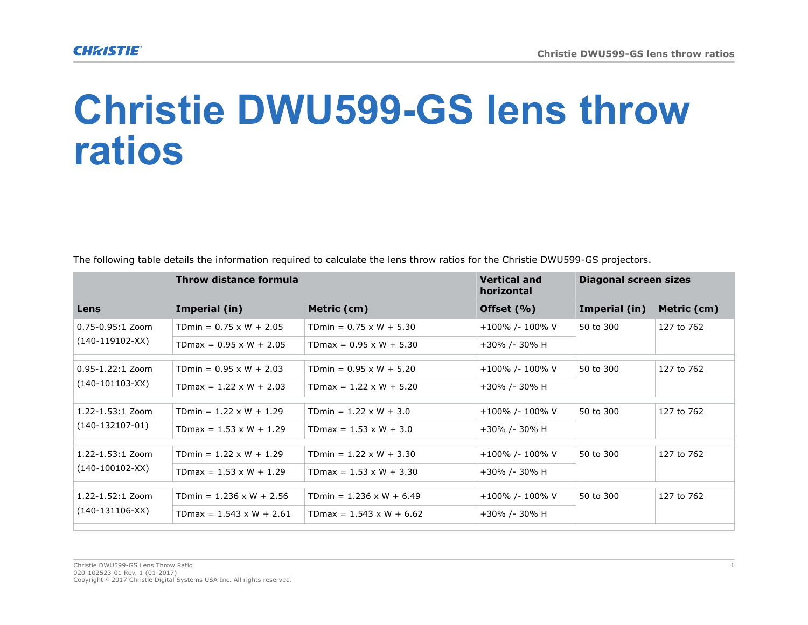## **Christie DWU599-GS lens throw ratios**

| Throw distance formula |  |                                                | <b>Vertical and</b><br>horizontal | Diagonal screen sizes |  |
|------------------------|--|------------------------------------------------|-----------------------------------|-----------------------|--|
|                        |  | $\mathbf{A}$ and $\mathbf{A}$ and $\mathbf{A}$ | $AC = 101$                        |                       |  |

The following table details the information required to calculate the lens throw ratios for the Christie DWU599-GS projectors.

| Lens                                      | Imperial (in)                   | Metric (cm)                     | Offset $(\% )$  | Imperial (in) | Metric (cm) |  |  |
|-------------------------------------------|---------------------------------|---------------------------------|-----------------|---------------|-------------|--|--|
| 0.75-0.95:1 Zoom<br>$(140-119102-XX)$     | TDmin = $0.75 \times W + 2.05$  | TDmin = $0.75 \times W + 5.30$  | +100% /- 100% V | 50 to 300     | 127 to 762  |  |  |
|                                           | TDmax = $0.95 \times W + 2.05$  | TDmax = $0.95 \times W + 5.30$  | +30% /- 30% H   |               |             |  |  |
|                                           |                                 |                                 |                 |               |             |  |  |
| $0.95 - 1.22:1$ Zoom<br>(140-101103-XX)   | TDmin = $0.95 \times W + 2.03$  | TDmin = $0.95 \times W + 5.20$  | +100% /- 100% V | 50 to 300     | 127 to 762  |  |  |
|                                           | TDmax = $1.22 \times W + 2.03$  | TDmax = $1.22 \times W + 5.20$  | +30% /- 30% H   |               |             |  |  |
|                                           |                                 |                                 |                 |               |             |  |  |
| $1.22 - 1.53:1$ Zoom<br>$(140-132107-01)$ | TDmin = $1.22 \times W + 1.29$  | TDmin = $1.22 \times W + 3.0$   | +100% /- 100% V | 50 to 300     | 127 to 762  |  |  |
|                                           | TDmax = $1.53 \times W + 1.29$  | TDmax = $1.53 \times W + 3.0$   | +30% /- 30% H   |               |             |  |  |
|                                           |                                 |                                 |                 |               |             |  |  |
| $1.22 - 1.53:1$ Zoom<br>$(140-100102-XX)$ | TDmin = $1.22 \times W + 1.29$  | TDmin = $1.22 \times W + 3.30$  | +100% /- 100% V | 50 to 300     | 127 to 762  |  |  |
|                                           | TDmax = $1.53 \times W + 1.29$  | TDmax = $1.53 \times W + 3.30$  | +30% /- 30% H   |               |             |  |  |
|                                           |                                 |                                 |                 |               |             |  |  |
| 1.22-1.52:1 Zoom<br>$(140-131106-XX)$     | TDmin = $1.236 \times W + 2.56$ | TDmin = $1.236 \times W + 6.49$ | +100% /- 100% V | 50 to 300     | 127 to 762  |  |  |
|                                           | TDmax = $1.543 \times W + 2.61$ | TDmax = $1.543 \times W + 6.62$ | +30% /- 30% H   |               |             |  |  |
|                                           |                                 |                                 |                 |               |             |  |  |